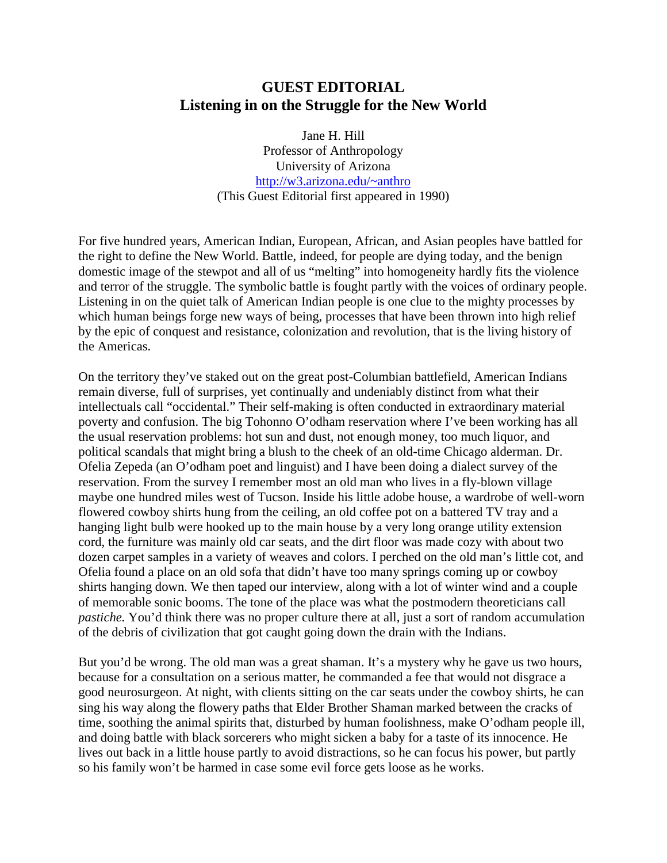## **GUEST EDITORIAL Listening in on the Struggle for the New World**

Jane H. Hill Professor of Anthropology University of Arizona http://w3.arizona.edu/~anthro (This Guest Editorial first appeared in 1990)

For five hundred years, American Indian, European, African, and Asian peoples have battled for the right to define the New World. Battle, indeed, for people are dying today, and the benign domestic image of the stewpot and all of us "melting" into homogeneity hardly fits the violence and terror of the struggle. The symbolic battle is fought partly with the voices of ordinary people. Listening in on the quiet talk of American Indian people is one clue to the mighty processes by which human beings forge new ways of being, processes that have been thrown into high relief by the epic of conquest and resistance, colonization and revolution, that is the living history of the Americas.

On the territory they've staked out on the great post-Columbian battlefield, American Indians remain diverse, full of surprises, yet continually and undeniably distinct from what their intellectuals call "occidental." Their self-making is often conducted in extraordinary material poverty and confusion. The big Tohonno O'odham reservation where I've been working has all the usual reservation problems: hot sun and dust, not enough money, too much liquor, and political scandals that might bring a blush to the cheek of an old-time Chicago alderman. Dr. Ofelia Zepeda (an O'odham poet and linguist) and I have been doing a dialect survey of the reservation. From the survey I remember most an old man who lives in a fly-blown village maybe one hundred miles west of Tucson. Inside his little adobe house, a wardrobe of well-worn flowered cowboy shirts hung from the ceiling, an old coffee pot on a battered TV tray and a hanging light bulb were hooked up to the main house by a very long orange utility extension cord, the furniture was mainly old car seats, and the dirt floor was made cozy with about two dozen carpet samples in a variety of weaves and colors. I perched on the old man's little cot, and Ofelia found a place on an old sofa that didn't have too many springs coming up or cowboy shirts hanging down. We then taped our interview, along with a lot of winter wind and a couple of memorable sonic booms. The tone of the place was what the postmodern theoreticians call *pastiche.* You'd think there was no proper culture there at all, just a sort of random accumulation of the debris of civilization that got caught going down the drain with the Indians.

But you'd be wrong. The old man was a great shaman. It's a mystery why he gave us two hours, because for a consultation on a serious matter, he commanded a fee that would not disgrace a good neurosurgeon. At night, with clients sitting on the car seats under the cowboy shirts, he can sing his way along the flowery paths that Elder Brother Shaman marked between the cracks of time, soothing the animal spirits that, disturbed by human foolishness, make O'odham people ill, and doing battle with black sorcerers who might sicken a baby for a taste of its innocence. He lives out back in a little house partly to avoid distractions, so he can focus his power, but partly so his family won't be harmed in case some evil force gets loose as he works.